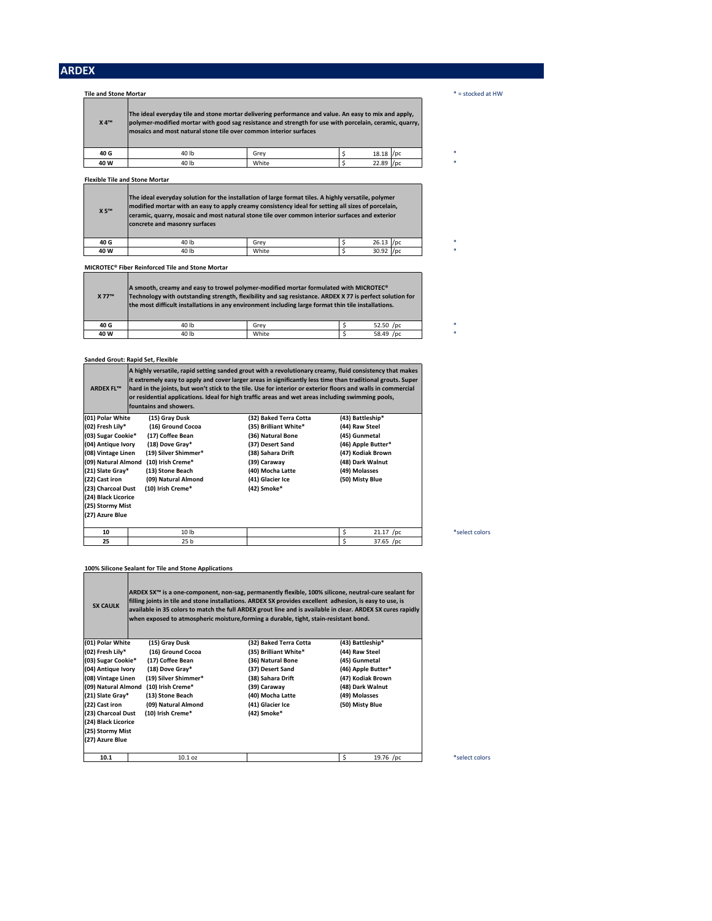| <b>Tile and Stone Mortar</b> |                                                                                                                                                                                                                                                                                     |       |            | $* =$ stocked at HW |
|------------------------------|-------------------------------------------------------------------------------------------------------------------------------------------------------------------------------------------------------------------------------------------------------------------------------------|-------|------------|---------------------|
| <b>X4™</b>                   | The ideal everyday tile and stone mortar delivering performance and value. An easy to mix and apply,<br>polymer-modified mortar with good sag resistance and strength for use with porcelain, ceramic, quarry,<br>mosaics and most natural stone tile over common interior surfaces |       |            |                     |
| 40 G                         | 40 lb                                                                                                                                                                                                                                                                               | Grev  | 18.18 / pc |                     |
| 40 W                         | 40 lb                                                                                                                                                                                                                                                                               | White | 22.89 /pc  |                     |

**Flexible Tile and Stone Mortar**

| X 5™ | The ideal everyday solution for the installation of large format tiles. A highly versatile, polymer<br>modified mortar with an easy to apply creamy consistency ideal for setting all sizes of porcelain,<br>ceramic, quarry, mosaic and most natural stone tile over common interior surfaces and exterior<br>concrete and masonry surfaces |       |             |   |
|------|----------------------------------------------------------------------------------------------------------------------------------------------------------------------------------------------------------------------------------------------------------------------------------------------------------------------------------------------|-------|-------------|---|
| 40 G | 40 lb                                                                                                                                                                                                                                                                                                                                        | Grev  | $26.13$ /pc | * |
| 40 W | 40 lb                                                                                                                                                                                                                                                                                                                                        | White | $30.92$ /pc | * |

**MICROTEC® Fiber Reinforced Tile and Stone Mortar**

| <b>X 77™</b> | A smooth, creamy and easy to trowel polymer-modified mortar formulated with MICROTEC®<br>Technology with outstanding strength, flexibility and sag resistance. ARDEX X 77 is perfect solution for<br>the most difficult installations in any environment including large format thin tile installations. |       |           |  |
|--------------|----------------------------------------------------------------------------------------------------------------------------------------------------------------------------------------------------------------------------------------------------------------------------------------------------------|-------|-----------|--|
| 40 G         | 40 lb                                                                                                                                                                                                                                                                                                    | Grev  | 52.50 /pc |  |
| 40 W         | 40 lb                                                                                                                                                                                                                                                                                                    | White | 58.49 /pc |  |

#### **Sanded Grout: Rapid Set, Flexible**

| <b>ARDEX FL™</b>    | fountains and showers. | A highly versatile, rapid setting sanded grout with a revolutionary creamy, fluid consistency that makes<br>it extremely easy to apply and cover larger areas in significantly less time than traditional grouts. Super<br>hard in the joints, but won't stick to the tile. Use for interior or exterior floors and walls in commercial<br>or residential applications. Ideal for high traffic areas and wet areas including swimming pools, |                    |
|---------------------|------------------------|----------------------------------------------------------------------------------------------------------------------------------------------------------------------------------------------------------------------------------------------------------------------------------------------------------------------------------------------------------------------------------------------------------------------------------------------|--------------------|
| (01) Polar White    | (15) Gray Dusk         | (32) Baked Terra Cotta                                                                                                                                                                                                                                                                                                                                                                                                                       | (43) Battleship*   |
| (02) Fresh Lily*    | (16) Ground Cocoa      | (35) Brilliant White*                                                                                                                                                                                                                                                                                                                                                                                                                        | (44) Raw Steel     |
| (03) Sugar Cookie*  | (17) Coffee Bean       | (36) Natural Bone                                                                                                                                                                                                                                                                                                                                                                                                                            | (45) Gunmetal      |
| (04) Antique Ivory  | (18) Dove Gray*        | (37) Desert Sand                                                                                                                                                                                                                                                                                                                                                                                                                             | (46) Apple Butter* |
| (08) Vintage Linen  | (19) Silver Shimmer*   | (38) Sahara Drift                                                                                                                                                                                                                                                                                                                                                                                                                            | (47) Kodiak Brown  |
| (09) Natural Almond | (10) Irish Creme*      | (39) Caraway                                                                                                                                                                                                                                                                                                                                                                                                                                 | (48) Dark Walnut   |
| (21) Slate Gray*    | (13) Stone Beach       | (40) Mocha Latte                                                                                                                                                                                                                                                                                                                                                                                                                             | (49) Molasses      |
| (22) Cast iron      | (09) Natural Almond    | (41) Glacier Ice                                                                                                                                                                                                                                                                                                                                                                                                                             | (50) Misty Blue    |
| (23) Charcoal Dust  | (10) Irish Creme*      | (42) Smoke*                                                                                                                                                                                                                                                                                                                                                                                                                                  |                    |
| (24) Black Licorice |                        |                                                                                                                                                                                                                                                                                                                                                                                                                                              |                    |
| (25) Stormy Mist    |                        |                                                                                                                                                                                                                                                                                                                                                                                                                                              |                    |
| (27) Azure Blue     |                        |                                                                                                                                                                                                                                                                                                                                                                                                                                              |                    |
| 10                  | 10 lb                  |                                                                                                                                                                                                                                                                                                                                                                                                                                              | \$<br>$21.17$ /pc  |
| 25                  | 25 <sub>b</sub>        |                                                                                                                                                                                                                                                                                                                                                                                                                                              | \$<br>37.65 /pc    |

**100% Silicone Sealant for Tile and Stone Applications**

| <b>SX CAULK</b>     |                      | ARDEX SX™ is a one-component, non-sag, permanently flexible, 100% silicone, neutral-cure sealant for<br>filling joints in tile and stone installations. ARDEX SX provides excellent adhesion, is easy to use, is<br>available in 35 colors to match the full ARDEX grout line and is available in clear. ARDEX SX cures rapidly<br>when exposed to atmospheric moisture, forming a durable, tight, stain-resistant bond. |                    |  |  |  |
|---------------------|----------------------|--------------------------------------------------------------------------------------------------------------------------------------------------------------------------------------------------------------------------------------------------------------------------------------------------------------------------------------------------------------------------------------------------------------------------|--------------------|--|--|--|
| (01) Polar White    | (15) Gray Dusk       | (32) Baked Terra Cotta                                                                                                                                                                                                                                                                                                                                                                                                   | (43) Battleship*   |  |  |  |
| (02) Fresh Lily*    | (16) Ground Cocoa    | (35) Brilliant White*                                                                                                                                                                                                                                                                                                                                                                                                    | (44) Raw Steel     |  |  |  |
| (03) Sugar Cookie*  | (17) Coffee Bean     | (36) Natural Bone                                                                                                                                                                                                                                                                                                                                                                                                        | (45) Gunmetal      |  |  |  |
| (04) Antique Ivory  | (18) Dove Gray*      | (37) Desert Sand                                                                                                                                                                                                                                                                                                                                                                                                         | (46) Apple Butter* |  |  |  |
| (08) Vintage Linen  | (19) Silver Shimmer* | (38) Sahara Drift                                                                                                                                                                                                                                                                                                                                                                                                        | (47) Kodiak Brown  |  |  |  |
| (09) Natural Almond | (10) Irish Creme*    | (39) Caraway                                                                                                                                                                                                                                                                                                                                                                                                             | (48) Dark Walnut   |  |  |  |
| (21) Slate Gray*    | (13) Stone Beach     | (40) Mocha Latte                                                                                                                                                                                                                                                                                                                                                                                                         | (49) Molasses      |  |  |  |
| (22) Cast iron      | (09) Natural Almond  | (41) Glacier Ice                                                                                                                                                                                                                                                                                                                                                                                                         | (50) Misty Blue    |  |  |  |
| (23) Charcoal Dust  | (10) Irish Creme*    | (42) Smoke*                                                                                                                                                                                                                                                                                                                                                                                                              |                    |  |  |  |
| (24) Black Licorice |                      |                                                                                                                                                                                                                                                                                                                                                                                                                          |                    |  |  |  |
| (25) Stormy Mist    |                      |                                                                                                                                                                                                                                                                                                                                                                                                                          |                    |  |  |  |
| (27) Azure Blue     |                      |                                                                                                                                                                                                                                                                                                                                                                                                                          |                    |  |  |  |
| 10.1                | $10.1$ oz            |                                                                                                                                                                                                                                                                                                                                                                                                                          | \$<br>19.76 /pc    |  |  |  |

J.

 $*$  select colors

\*select colors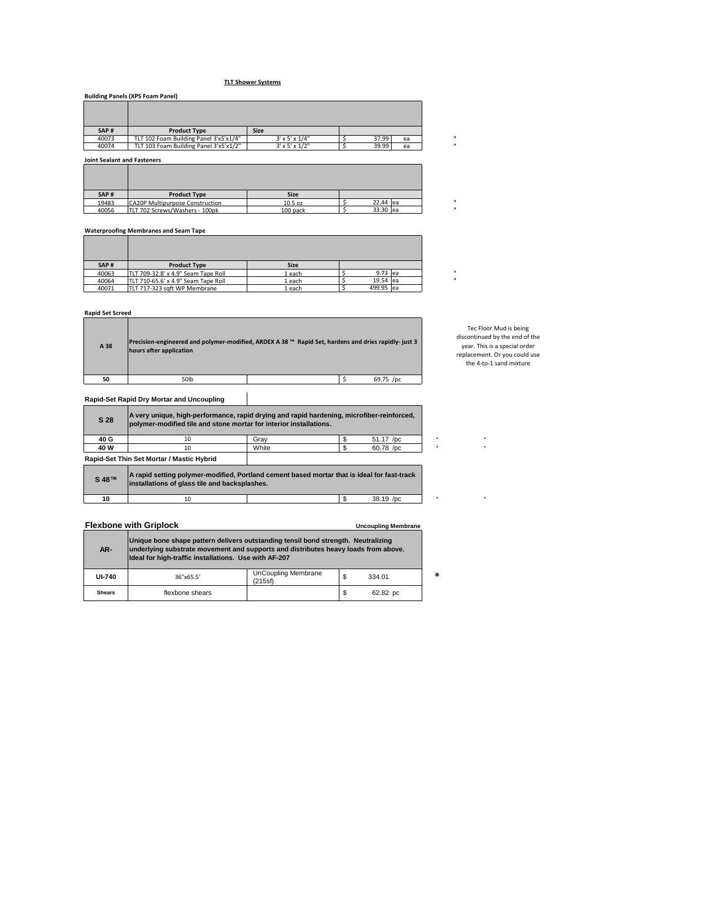# **TLT Shower Systems**

|       | <b>Building Panels (XPS Foam Panel)</b> |                             |       |    |  |
|-------|-----------------------------------------|-----------------------------|-------|----|--|
|       |                                         |                             |       |    |  |
|       |                                         |                             |       |    |  |
| SAP#  | <b>Product Type</b>                     | <b>Size</b>                 |       |    |  |
| 40073 | TLT 102 Foam Building Panel 3'x5'x1/4"  | $3' \times 5' \times 1/4"$  | 37.99 | ea |  |
| 40074 | TLT 103 Foam Building Panel 3'x5'x1/2"  | $3' \times 5' \times 1/2''$ | 39.99 | ea |  |

**Joint Sealant and Fasteners**

| SAP#  | <b>Product Type</b>                    | <b>Size</b> |          |  |
|-------|----------------------------------------|-------------|----------|--|
| 19483 | <b>CA20P Multipurpose Construction</b> | $10.5$ oz   | 22.44 ea |  |
| 40056 | TLT 702 Screws/Washers - 100pk         | 100 pack    | 33.30 ea |  |

### **Waterproofing Membranes and Seam Tape**

| SAP#  | <b>Product Type</b>                 | <b>Size</b> |           |  |
|-------|-------------------------------------|-------------|-----------|--|
| 40063 | TLT 709-32.8' x 4.9" Seam Tape Roll | 1 each      | 9.73 ea   |  |
| 40064 | TLT 710-65.6' x 4.9" Seam Tape Roll | 1 each      | 19.54 ea  |  |
| 40071 | TLT 717-323 saft WP Membrane        | 1 each      | 499.95 ea |  |

# **Rapid Set Screed**

| A 38 | Precision-engineered and polymer-modified, ARDEX A 38™ Rapid Set, hardens and dries rapidly- just 3<br>hours after application |           |
|------|--------------------------------------------------------------------------------------------------------------------------------|-----------|
| 50   | 50lb                                                                                                                           | 69.75 /pc |

#### **Rapid-Set Rapid Dry Mortar and Uncoupling**

| S 28            | A very unique, high-performance, rapid drying and rapid hardening, microfiber-reinforced,<br>polymer-modified tile and stone mortar for interior installations. |       |           |  |
|-----------------|-----------------------------------------------------------------------------------------------------------------------------------------------------------------|-------|-----------|--|
| 40 G            | 10                                                                                                                                                              | Grav  | 51.17 /pc |  |
| 40 W            | 10                                                                                                                                                              | White | 60.78 /pc |  |
|                 | Rapid-Set Thin Set Mortar / Mastic Hybrid                                                                                                                       |       |           |  |
| $0.40 \text{m}$ | A rapid setting polymer-modified, Portland cement based mortar that is ideal for fast-track                                                                     |       |           |  |

| S 48™ | JA rapid setting polymer-modified, Portland cement based mortar that is ideal for fast-track<br>linstallations of glass tile and backsplashes. |  |             |  |
|-------|------------------------------------------------------------------------------------------------------------------------------------------------|--|-------------|--|
| 10    |                                                                                                                                                |  | $38.19$ /pc |  |

# **Flexbone with Griplock Uncoupling Membrane**

| AR-           | Unique bone shape pattern delivers outstanding tensil bond strength. Neutralizing<br>underlying substrate movement and supports and distributes heavy loads from above.<br>Ideal for high-traffic installations. Use with AF-207 |                                       |  |          |        |  |  |
|---------------|----------------------------------------------------------------------------------------------------------------------------------------------------------------------------------------------------------------------------------|---------------------------------------|--|----------|--------|--|--|
| <b>UI-740</b> | 36"x65.5"                                                                                                                                                                                                                        | <b>UnCoupling Membrane</b><br>(215sf) |  | 334.01   | $\ast$ |  |  |
| <b>Shears</b> | flexbone shears                                                                                                                                                                                                                  |                                       |  | 62.82 pc |        |  |  |

Tec Floor Mud is being discontinued by the end of the year. This is a special order replacement. Or you could use the 4-to-1 sand mixture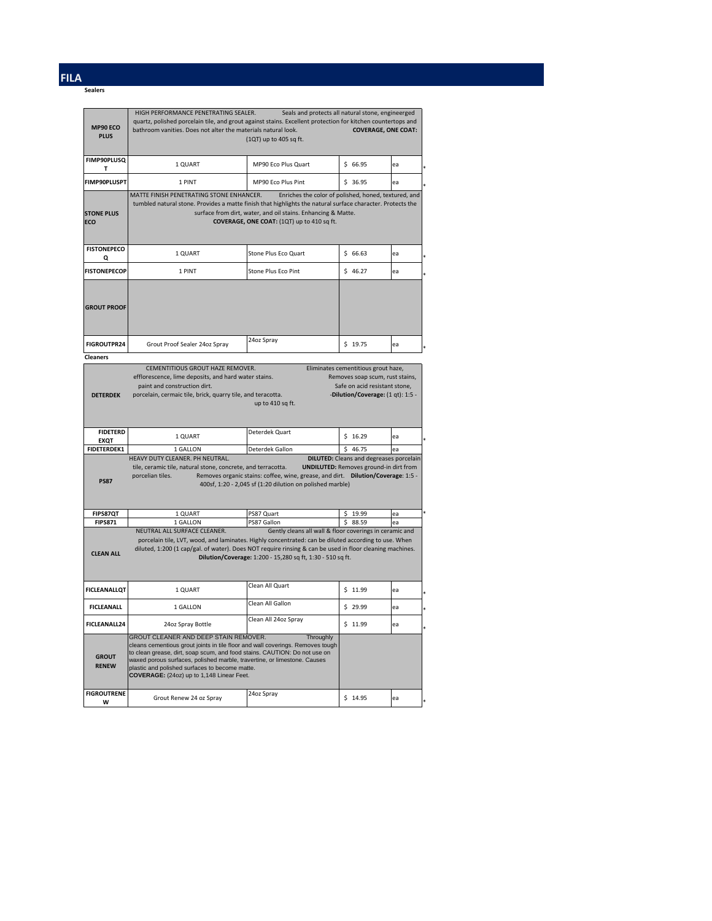# **FILA**

**Sealers**

| MP90 ECO<br><b>PLUS</b>        | HIGH PERFORMANCE PENETRATING SEALER.<br>quartz, polished porcelain tile, and grout against stains. Excellent protection for kitchen countertops and<br>bathroom vanities. Does not alter the materials natural look.                                                                                                                                                            | Seals and protects all natural stone, engineerged<br>(1QT) up to 405 sq ft.                                           | <b>COVERAGE, ONE COAT:</b>                                                                            |          |  |
|--------------------------------|---------------------------------------------------------------------------------------------------------------------------------------------------------------------------------------------------------------------------------------------------------------------------------------------------------------------------------------------------------------------------------|-----------------------------------------------------------------------------------------------------------------------|-------------------------------------------------------------------------------------------------------|----------|--|
| <b>FIMP90PLUSQ</b><br>т        | 1 QUART                                                                                                                                                                                                                                                                                                                                                                         | MP90 Eco Plus Quart                                                                                                   | \$66.95                                                                                               | ea       |  |
| FIMP90PLUSPT                   | 1 PINT                                                                                                                                                                                                                                                                                                                                                                          | MP90 Eco Plus Pint                                                                                                    | \$36.95                                                                                               | ea       |  |
| <b>STONE PLUS</b><br>ECO       | MATTE FINISH PENETRATING STONE ENHANCER.<br>Enriches the color of polished, honed, textured, and<br>tumbled natural stone. Provides a matte finish that highlights the natural surface character. Protects the<br>surface from dirt, water, and oil stains. Enhancing & Matte.<br>COVERAGE, ONE COAT: (1QT) up to 410 sq ft.                                                    |                                                                                                                       |                                                                                                       |          |  |
| <b>FISTONEPECO</b><br>Q        | 1 QUART                                                                                                                                                                                                                                                                                                                                                                         | Stone Plus Eco Quart                                                                                                  | \$66.63                                                                                               | ea       |  |
| <b>FISTONEPECOP</b>            | 1 PINT                                                                                                                                                                                                                                                                                                                                                                          | Stone Plus Eco Pint                                                                                                   | \$46.27                                                                                               | ea       |  |
| <b>GROUT PROOF</b>             |                                                                                                                                                                                                                                                                                                                                                                                 | 24oz Spray                                                                                                            |                                                                                                       |          |  |
| <b>FIGROUTPR24</b>             | Grout Proof Sealer 24oz Spray                                                                                                                                                                                                                                                                                                                                                   |                                                                                                                       | \$19.75                                                                                               | ea       |  |
| <b>Cleaners</b>                | CEMENTITIOUS GROUT HAZE REMOVER.                                                                                                                                                                                                                                                                                                                                                |                                                                                                                       | Eliminates cementitious grout haze,                                                                   |          |  |
| <b>DETERDEK</b>                | efflorescence, lime deposits, and hard water stains.<br>paint and construction dirt.<br>porcelain, cermaic tile, brick, quarry tile, and teracotta.                                                                                                                                                                                                                             | up to 410 sq ft.                                                                                                      | Removes soap scum, rust stains,<br>Safe on acid resistant stone,<br>-Dilution/Coverage: (1 qt): 1:5 - |          |  |
| <b>FIDETERD</b><br><b>EXQT</b> | 1 QUART                                                                                                                                                                                                                                                                                                                                                                         | Deterdek Quart                                                                                                        | \$16.29                                                                                               | ea       |  |
| <b>FIDETERDEK1</b>             | 1 GALLON                                                                                                                                                                                                                                                                                                                                                                        | Deterdek Gallon                                                                                                       | \$<br>46.75                                                                                           | ea       |  |
| <b>PS87</b>                    | HEAVY DUTY CLEANER. PH NEUTRAL.<br><b>DILUTED:</b> Cleans and degreases porcelain<br>tile, ceramic tile, natural stone, concrete, and terracotta.<br><b>UNDILUTED:</b> Removes ground-in dirt from<br>porcelian tiles.<br>Removes organic stains: coffee, wine, grease, and dirt. Dilution/Coverage: 1:5 -<br>400sf, 1:20 - 2,045 sf (1:20 dilution on polished marble)         |                                                                                                                       |                                                                                                       |          |  |
| FIPS87QT<br><b>FIPS871</b>     | 1 QUART<br>1 GALLON                                                                                                                                                                                                                                                                                                                                                             | PS87 Quart<br>PS87 Gallon                                                                                             | \$.<br>19.99<br>\$<br>88.59                                                                           | ea<br>ea |  |
| <b>CLEAN ALL</b>               | NEUTRAL ALL SURFACE CLEANER.<br>porcelain tile, LVT, wood, and laminates. Highly concentrated: can be diluted according to use. When<br>diluted, 1:200 (1 cap/gal. of water). Does NOT require rinsing & can be used in floor cleaning machines.                                                                                                                                | Gently cleans all wall & floor coverings in ceramic and<br>Dilution/Coverage: 1:200 - 15,280 sq ft, 1:30 - 510 sq ft. |                                                                                                       |          |  |
| <b>FICLEANALLQT</b>            | 1 QUART                                                                                                                                                                                                                                                                                                                                                                         | Clean All Quart                                                                                                       | \$11.99                                                                                               | ea       |  |
| <b>FICLEANALL</b>              | 1 GALLON                                                                                                                                                                                                                                                                                                                                                                        | Clean All Gallon                                                                                                      | \$29.99                                                                                               | ea       |  |
| <b>FICLEANALL24</b>            | 24oz Spray Bottle                                                                                                                                                                                                                                                                                                                                                               | Clean All 24oz Spray                                                                                                  | \$11.99                                                                                               | ea       |  |
| <b>GROUT</b><br><b>RENEW</b>   | GROUT CLEANER AND DEEP STAIN REMOVER.<br>cleans cementious grout joints in tile floor and wall coverings. Removes tough<br>to clean grease, dirt, soap scum, and food stains. CAUTION: Do not use on<br>waxed porous surfaces, polished marble, travertine, or limestone. Causes<br>plastic and polished surfaces to become matte.<br>COVERAGE: (24oz) up to 1,148 Linear Feet. | Throughly                                                                                                             |                                                                                                       |          |  |
| <b>FIGROUTRENE</b>             | Grout Renew 24 oz Spray                                                                                                                                                                                                                                                                                                                                                         | 24oz Spray                                                                                                            | \$14.95                                                                                               | ea       |  |